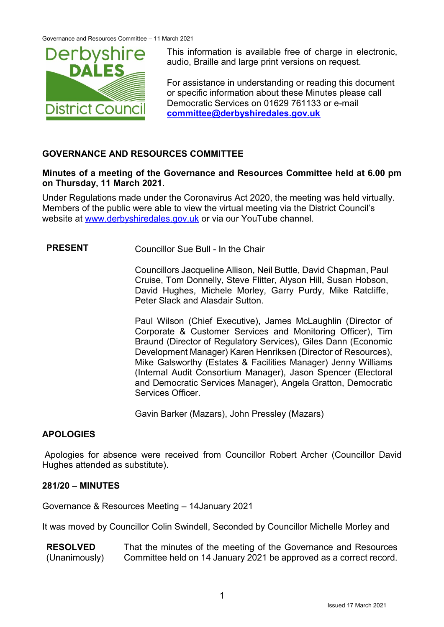

This information is available free of charge in electronic, audio, Braille and large print versions on request.

For assistance in understanding or reading this document or specific information about these Minutes please call Democratic Services on 01629 761133 or e-mail **[committee@derbyshiredales.gov.uk](mailto:committee@derbyshiredales.gov.uk)**

## **GOVERNANCE AND RESOURCES COMMITTEE**

### **Minutes of a meeting of the Governance and Resources Committee held at 6.00 pm on Thursday, 11 March 2021.**

Under Regulations made under the Coronavirus Act 2020, the meeting was held virtually. Members of the public were able to view the virtual meeting via the District Council's website at [www.derbyshiredales.gov.uk](http://www.derbyshiredales.gov.uk/) or via our YouTube channel.

# **PRESENT** Councillor Sue Bull - In the Chair

Councillors Jacqueline Allison, Neil Buttle, David Chapman, Paul Cruise, Tom Donnelly, Steve Flitter, Alyson Hill, Susan Hobson, David Hughes, Michele Morley, Garry Purdy, Mike Ratcliffe, Peter Slack and Alasdair Sutton.

Paul Wilson (Chief Executive), James McLaughlin (Director of Corporate & Customer Services and Monitoring Officer), Tim Braund (Director of Regulatory Services), Giles Dann (Economic Development Manager) Karen Henriksen (Director of Resources), Mike Galsworthy (Estates & Facilities Manager) Jenny Williams (Internal Audit Consortium Manager), Jason Spencer (Electoral and Democratic Services Manager), Angela Gratton, Democratic Services Officer.

Gavin Barker (Mazars), John Pressley (Mazars)

## **APOLOGIES**

Apologies for absence were received from Councillor Robert Archer (Councillor David Hughes attended as substitute).

## **281/20 – MINUTES**

Governance & Resources Meeting – 14January 2021

It was moved by Councillor Colin Swindell, Seconded by Councillor Michelle Morley and

**RESOLVED** (Unanimously) That the minutes of the meeting of the Governance and Resources Committee held on 14 January 2021 be approved as a correct record.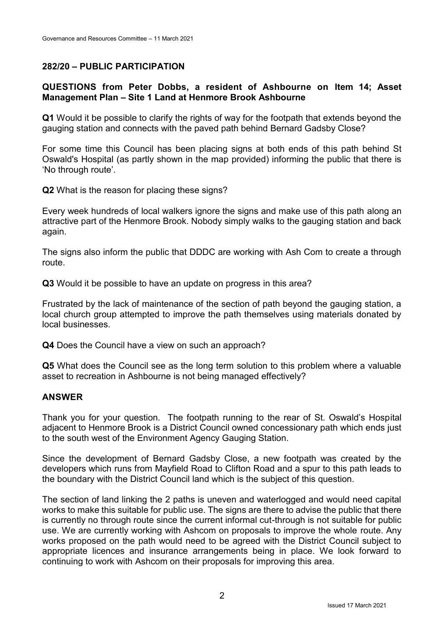# **282/20 – PUBLIC PARTICIPATION**

### **QUESTIONS from Peter Dobbs, a resident of Ashbourne on Item 14; Asset Management Plan – Site 1 Land at Henmore Brook Ashbourne**

**Q1** Would it be possible to clarify the rights of way for the footpath that extends beyond the gauging station and connects with the paved path behind Bernard Gadsby Close?

For some time this Council has been placing signs at both ends of this path behind St Oswald's Hospital (as partly shown in the map provided) informing the public that there is 'No through route'.

**Q2** What is the reason for placing these signs?

Every week hundreds of local walkers ignore the signs and make use of this path along an attractive part of the Henmore Brook. Nobody simply walks to the gauging station and back again.

The signs also inform the public that DDDC are working with Ash Com to create a through route.

**Q3** Would it be possible to have an update on progress in this area?

Frustrated by the lack of maintenance of the section of path beyond the gauging station, a local church group attempted to improve the path themselves using materials donated by local businesses.

**Q4** Does the Council have a view on such an approach?

**Q5** What does the Council see as the long term solution to this problem where a valuable asset to recreation in Ashbourne is not being managed effectively?

### **ANSWER**

Thank you for your question. The footpath running to the rear of St. Oswald's Hospital adjacent to Henmore Brook is a District Council owned concessionary path which ends just to the south west of the Environment Agency Gauging Station.

Since the development of Bernard Gadsby Close, a new footpath was created by the developers which runs from Mayfield Road to Clifton Road and a spur to this path leads to the boundary with the District Council land which is the subject of this question.

The section of land linking the 2 paths is uneven and waterlogged and would need capital works to make this suitable for public use. The signs are there to advise the public that there is currently no through route since the current informal cut-through is not suitable for public use. We are currently working with Ashcom on proposals to improve the whole route. Any works proposed on the path would need to be agreed with the District Council subject to appropriate licences and insurance arrangements being in place. We look forward to continuing to work with Ashcom on their proposals for improving this area.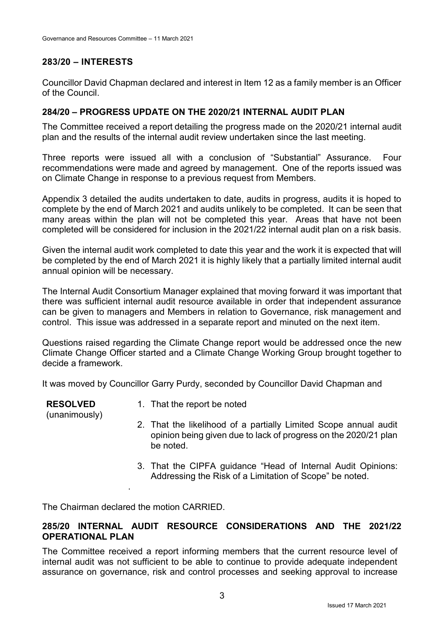## **283/20 – INTERESTS**

Councillor David Chapman declared and interest in Item 12 as a family member is an Officer of the Council.

## **284/20 – PROGRESS UPDATE ON THE 2020/21 INTERNAL AUDIT PLAN**

The Committee received a report detailing the progress made on the 2020/21 internal audit plan and the results of the internal audit review undertaken since the last meeting.

Three reports were issued all with a conclusion of "Substantial" Assurance. Four recommendations were made and agreed by management. One of the reports issued was on Climate Change in response to a previous request from Members.

Appendix 3 detailed the audits undertaken to date, audits in progress, audits it is hoped to complete by the end of March 2021 and audits unlikely to be completed. It can be seen that many areas within the plan will not be completed this year. Areas that have not been completed will be considered for inclusion in the 2021/22 internal audit plan on a risk basis.

Given the internal audit work completed to date this year and the work it is expected that will be completed by the end of March 2021 it is highly likely that a partially limited internal audit annual opinion will be necessary.

The Internal Audit Consortium Manager explained that moving forward it was important that there was sufficient internal audit resource available in order that independent assurance can be given to managers and Members in relation to Governance, risk management and control. This issue was addressed in a separate report and minuted on the next item.

Questions raised regarding the Climate Change report would be addressed once the new Climate Change Officer started and a Climate Change Working Group brought together to decide a framework.

It was moved by Councillor Garry Purdy, seconded by Councillor David Chapman and

**RESOLVED** (unanimously)

- 1. That the report be noted
- 2. That the likelihood of a partially Limited Scope annual audit opinion being given due to lack of progress on the 2020/21 plan be noted.
- 3. That the CIPFA guidance "Head of Internal Audit Opinions: Addressing the Risk of a Limitation of Scope" be noted.

The Chairman declared the motion CARRIED.

.

# **285/20 INTERNAL AUDIT RESOURCE CONSIDERATIONS AND THE 2021/22 OPERATIONAL PLAN**

The Committee received a report informing members that the current resource level of internal audit was not sufficient to be able to continue to provide adequate independent assurance on governance, risk and control processes and seeking approval to increase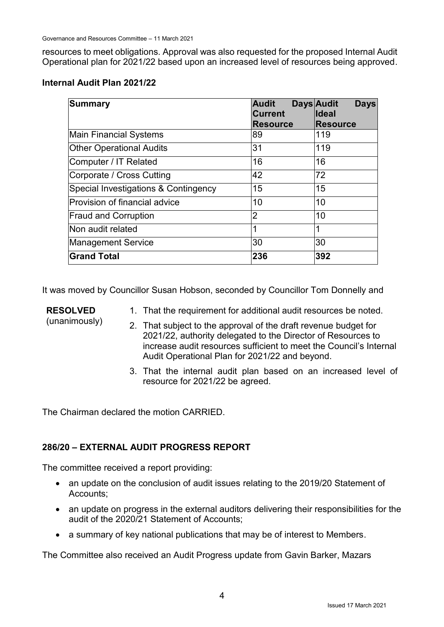resources to meet obligations. Approval was also requested for the proposed Internal Audit Operational plan for 2021/22 based upon an increased level of resources being approved.

## **Internal Audit Plan 2021/22**

| <b>Summary</b>                       | <b>Audit</b>    | <b>Days Audit</b><br><b>Days</b> |
|--------------------------------------|-----------------|----------------------------------|
|                                      | <b>Current</b>  | <b>Ideal</b>                     |
|                                      | <b>Resource</b> | <b>Resource</b>                  |
| <b>Main Financial Systems</b>        | 89              | 119                              |
| <b>Other Operational Audits</b>      | 31              | 119                              |
| Computer / IT Related                | 16              | 16                               |
| Corporate / Cross Cutting            | 42              | 72                               |
| Special Investigations & Contingency | 15              | 15                               |
| Provision of financial advice        | 10              | 10                               |
| <b>Fraud and Corruption</b>          | $\overline{2}$  | 10                               |
| Non audit related                    |                 | 1                                |
| <b>Management Service</b>            | 30              | 30                               |
| <b>Grand Total</b>                   | 236             | 392                              |

It was moved by Councillor Susan Hobson, seconded by Councillor Tom Donnelly and

- **RESOLVED**
- 1. That the requirement for additional audit resources be noted.
- (unanimously)
- 2. That subject to the approval of the draft revenue budget for 2021/22, authority delegated to the Director of Resources to increase audit resources sufficient to meet the Council's Internal Audit Operational Plan for 2021/22 and beyond.
- 3. That the internal audit plan based on an increased level of resource for 2021/22 be agreed.

The Chairman declared the motion CARRIED.

# **286/20 – EXTERNAL AUDIT PROGRESS REPORT**

The committee received a report providing:

- an update on the conclusion of audit issues relating to the 2019/20 Statement of Accounts;
- an update on progress in the external auditors delivering their responsibilities for the audit of the 2020/21 Statement of Accounts;
- a summary of key national publications that may be of interest to Members.

The Committee also received an Audit Progress update from Gavin Barker, Mazars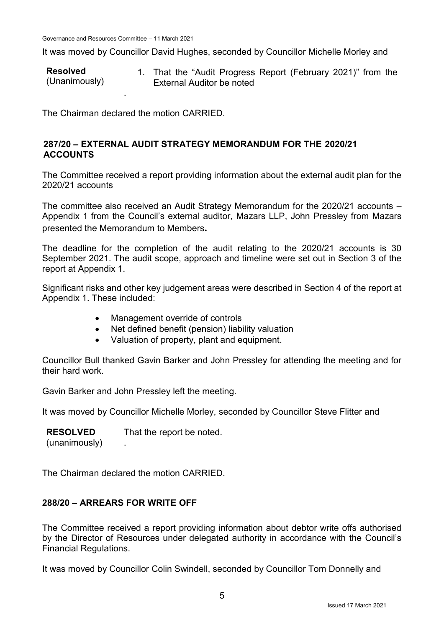It was moved by Councillor David Hughes, seconded by Councillor Michelle Morley and

**Resolved** (Unanimously) 1. That the "Audit Progress Report (February 2021)" from the External Auditor be noted .

The Chairman declared the motion CARRIED.

## **287/20 – EXTERNAL AUDIT STRATEGY MEMORANDUM FOR THE 2020/21 ACCOUNTS**

The Committee received a report providing information about the external audit plan for the 2020/21 accounts

The committee also received an Audit Strategy Memorandum for the 2020/21 accounts – Appendix 1 from the Council's external auditor, Mazars LLP, John Pressley from Mazars presented the Memorandum to Members**.**

The deadline for the completion of the audit relating to the 2020/21 accounts is 30 September 2021. The audit scope, approach and timeline were set out in Section 3 of the report at Appendix 1.

Significant risks and other key judgement areas were described in Section 4 of the report at Appendix 1. These included:

- Management override of controls
- Net defined benefit (pension) liability valuation
- Valuation of property, plant and equipment.

Councillor Bull thanked Gavin Barker and John Pressley for attending the meeting and for their hard work.

Gavin Barker and John Pressley left the meeting.

It was moved by Councillor Michelle Morley, seconded by Councillor Steve Flitter and

**RESOLVED** (unanimously) That the report be noted. .

The Chairman declared the motion CARRIED.

## **288/20 – ARREARS FOR WRITE OFF**

The Committee received a report providing information about debtor write offs authorised by the Director of Resources under delegated authority in accordance with the Council's Financial Regulations.

It was moved by Councillor Colin Swindell, seconded by Councillor Tom Donnelly and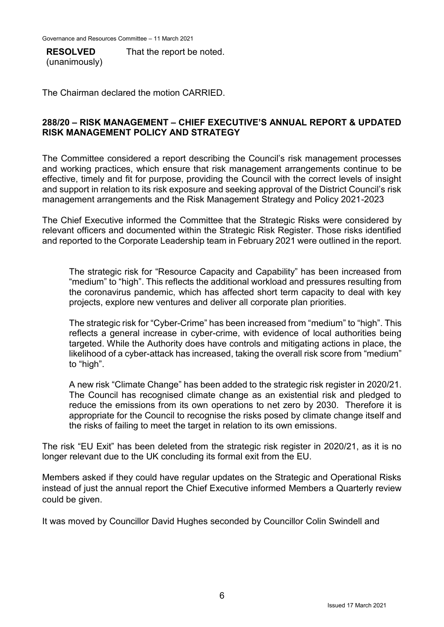**RESOLVED** (unanimously) That the report be noted.

The Chairman declared the motion CARRIED.

### **288/20 – RISK MANAGEMENT – CHIEF EXECUTIVE'S ANNUAL REPORT & UPDATED RISK MANAGEMENT POLICY AND STRATEGY**

The Committee considered a report describing the Council's risk management processes and working practices, which ensure that risk management arrangements continue to be effective, timely and fit for purpose, providing the Council with the correct levels of insight and support in relation to its risk exposure and seeking approval of the District Council's risk management arrangements and the Risk Management Strategy and Policy 2021-2023

The Chief Executive informed the Committee that the Strategic Risks were considered by relevant officers and documented within the Strategic Risk Register. Those risks identified and reported to the Corporate Leadership team in February 2021 were outlined in the report.

The strategic risk for "Resource Capacity and Capability" has been increased from "medium" to "high". This reflects the additional workload and pressures resulting from the coronavirus pandemic, which has affected short term capacity to deal with key projects, explore new ventures and deliver all corporate plan priorities.

The strategic risk for "Cyber-Crime" has been increased from "medium" to "high". This reflects a general increase in cyber-crime, with evidence of local authorities being targeted. While the Authority does have controls and mitigating actions in place, the likelihood of a cyber-attack has increased, taking the overall risk score from "medium" to "high".

A new risk "Climate Change" has been added to the strategic risk register in 2020/21. The Council has recognised climate change as an existential risk and pledged to reduce the emissions from its own operations to net zero by 2030. Therefore it is appropriate for the Council to recognise the risks posed by climate change itself and the risks of failing to meet the target in relation to its own emissions.

The risk "EU Exit" has been deleted from the strategic risk register in 2020/21, as it is no longer relevant due to the UK concluding its formal exit from the EU.

Members asked if they could have regular updates on the Strategic and Operational Risks instead of just the annual report the Chief Executive informed Members a Quarterly review could be given.

It was moved by Councillor David Hughes seconded by Councillor Colin Swindell and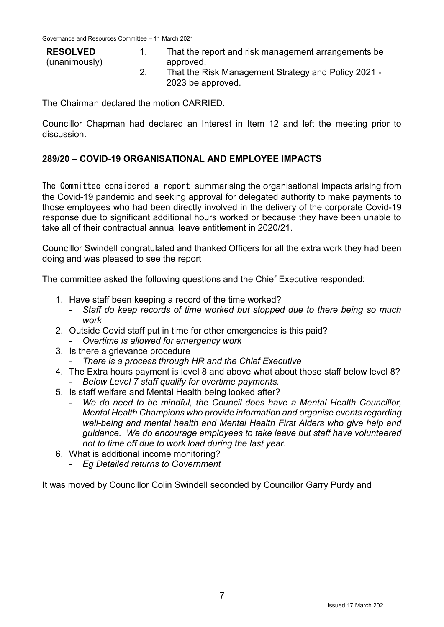| <b>RESOLVED</b><br>(unanimously) | That the report and risk management arrangements be<br>approved.         |
|----------------------------------|--------------------------------------------------------------------------|
|                                  | That the Risk Management Strategy and Policy 2021 -<br>2023 be approved. |

The Chairman declared the motion CARRIED.

Councillor Chapman had declared an Interest in Item 12 and left the meeting prior to discussion.

## **289/20 – COVID-19 ORGANISATIONAL AND EMPLOYEE IMPACTS**

The Committee considered a report summarising the organisational impacts arising from the Covid-19 pandemic and seeking approval for delegated authority to make payments to those employees who had been directly involved in the delivery of the corporate Covid-19 response due to significant additional hours worked or because they have been unable to take all of their contractual annual leave entitlement in 2020/21.

Councillor Swindell congratulated and thanked Officers for all the extra work they had been doing and was pleased to see the report

The committee asked the following questions and the Chief Executive responded:

- 1. Have staff been keeping a record of the time worked?
	- *Staff do keep records of time worked but stopped due to there being so much work*
- 2. Outside Covid staff put in time for other emergencies is this paid? - *Overtime is allowed for emergency work*
- 3. Is there a grievance procedure
	- *There is a process through HR and the Chief Executive*
- 4. The Extra hours payment is level 8 and above what about those staff below level 8? - *Below Level 7 staff qualify for overtime payments.*
- 5. Is staff welfare and Mental Health being looked after?
	- *We do need to be mindful, the Council does have a Mental Health Councillor, Mental Health Champions who provide information and organise events regarding well-being and mental health and Mental Health First Aiders who give help and guidance. We do encourage employees to take leave but staff have volunteered not to time off due to work load during the last year.*
- 6. What is additional income monitoring?
	- *Eg Detailed returns to Government*

It was moved by Councillor Colin Swindell seconded by Councillor Garry Purdy and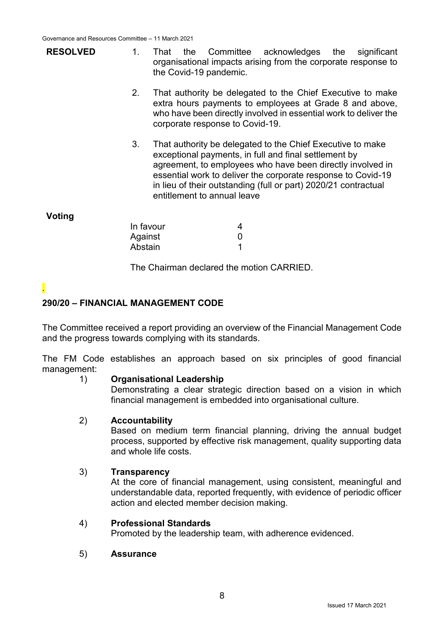- **RESOLVED** 1. That the Committee acknowledges the significant organisational impacts arising from the corporate response to the Covid-19 pandemic.
	- 2. That authority be delegated to the Chief Executive to make extra hours payments to employees at Grade 8 and above, who have been directly involved in essential work to deliver the corporate response to Covid-19.
	- 3. That authority be delegated to the Chief Executive to make exceptional payments, in full and final settlement by agreement, to employees who have been directly involved in essential work to deliver the corporate response to Covid-19 in lieu of their outstanding (full or part) 2020/21 contractual entitlement to annual leave

### **Voting**

| In favour | 4            |
|-----------|--------------|
| Against   | $\mathbf{I}$ |
| Abstain   |              |

The Chairman declared the motion CARRIED.

### .

## **290/20 – FINANCIAL MANAGEMENT CODE**

The Committee received a report providing an overview of the Financial Management Code and the progress towards complying with its standards.

The FM Code establishes an approach based on six principles of good financial management:

### 1) **Organisational Leadership**

Demonstrating a clear strategic direction based on a vision in which financial management is embedded into organisational culture.

#### 2) **Accountability**

Based on medium term financial planning, driving the annual budget process, supported by effective risk management, quality supporting data and whole life costs.

#### 3) **Transparency**

At the core of financial management, using consistent, meaningful and understandable data, reported frequently, with evidence of periodic officer action and elected member decision making.

### 4) **Professional Standards**

Promoted by the leadership team, with adherence evidenced.

#### 5) **Assurance**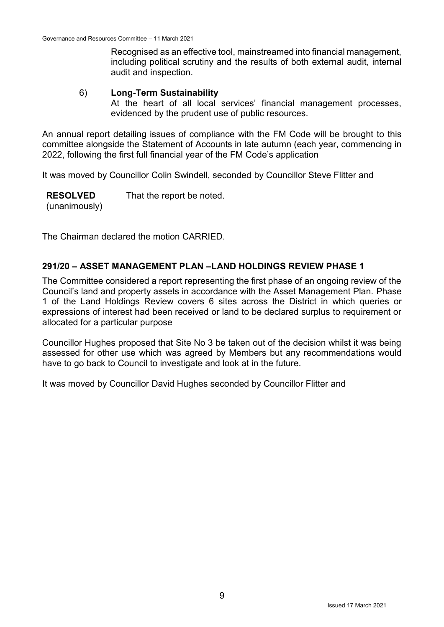Recognised as an effective tool, mainstreamed into financial management, including political scrutiny and the results of both external audit, internal audit and inspection.

### 6) **Long-Term Sustainability**

At the heart of all local services' financial management processes, evidenced by the prudent use of public resources.

An annual report detailing issues of compliance with the FM Code will be brought to this committee alongside the Statement of Accounts in late autumn (each year, commencing in 2022, following the first full financial year of the FM Code's application

It was moved by Councillor Colin Swindell, seconded by Councillor Steve Flitter and

**RESOLVED** (unanimously) That the report be noted.

The Chairman declared the motion CARRIED.

### **291/20 – ASSET MANAGEMENT PLAN –LAND HOLDINGS REVIEW PHASE 1**

The Committee considered a report representing the first phase of an ongoing review of the Council's land and property assets in accordance with the Asset Management Plan. Phase 1 of the Land Holdings Review covers 6 sites across the District in which queries or expressions of interest had been received or land to be declared surplus to requirement or allocated for a particular purpose

Councillor Hughes proposed that Site No 3 be taken out of the decision whilst it was being assessed for other use which was agreed by Members but any recommendations would have to go back to Council to investigate and look at in the future.

It was moved by Councillor David Hughes seconded by Councillor Flitter and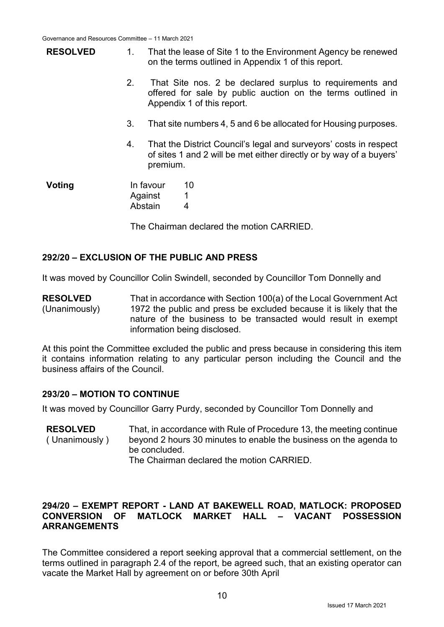| <b>RESOLVED</b> | $1_{\cdot}$    | That the lease of Site 1 to the Environment Agency be renewed<br>on the terms outlined in Appendix 1 of this report.                                  |                                                                 |  |  |
|-----------------|----------------|-------------------------------------------------------------------------------------------------------------------------------------------------------|-----------------------------------------------------------------|--|--|
|                 | 2.             | That Site nos. 2 be declared surplus to requirements and<br>offered for sale by public auction on the terms outlined in<br>Appendix 1 of this report. |                                                                 |  |  |
|                 | 3.             |                                                                                                                                                       | That site numbers 4, 5 and 6 be allocated for Housing purposes. |  |  |
|                 | 4.<br>premium. | That the District Council's legal and surveyors' costs in respect<br>of sites 1 and 2 will be met either directly or by way of a buyers'              |                                                                 |  |  |
| Voting          | Abstain        | In favour<br>Against                                                                                                                                  | 10<br>1<br>4                                                    |  |  |

The Chairman declared the motion CARRIED.

### **292/20 – EXCLUSION OF THE PUBLIC AND PRESS**

It was moved by Councillor Colin Swindell, seconded by Councillor Tom Donnelly and

**RESOLVED** (Unanimously) That in accordance with Section 100(a) of the Local Government Act 1972 the public and press be excluded because it is likely that the nature of the business to be transacted would result in exempt information being disclosed.

At this point the Committee excluded the public and press because in considering this item it contains information relating to any particular person including the Council and the business affairs of the Council.

### **293/20 – MOTION TO CONTINUE**

It was moved by Councillor Garry Purdy, seconded by Councillor Tom Donnelly and

**RESOLVED** ( Unanimously ) That, in accordance with Rule of Procedure 13, the meeting continue beyond 2 hours 30 minutes to enable the business on the agenda to be concluded. The Chairman declared the motion CARRIED.

### **294/20 – EXEMPT REPORT - LAND AT BAKEWELL ROAD, MATLOCK: PROPOSED CONVERSION OF MATLOCK MARKET HALL – VACANT POSSESSION ARRANGEMENTS**

The Committee considered a report seeking approval that a commercial settlement, on the terms outlined in paragraph 2.4 of the report, be agreed such, that an existing operator can vacate the Market Hall by agreement on or before 30th April